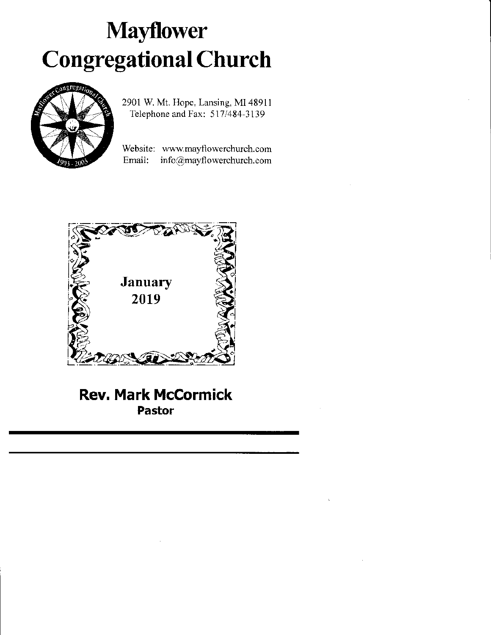# **Mayflower** Congregational Church



2901 W. Mt. Hope. Lansing, Ml 48911 Telephone and Fax: 517/484-3139

Website: www.mayflowerchurch.com Email: info@mayflowcrchurch.com



Rev. Mark McCormick Pastor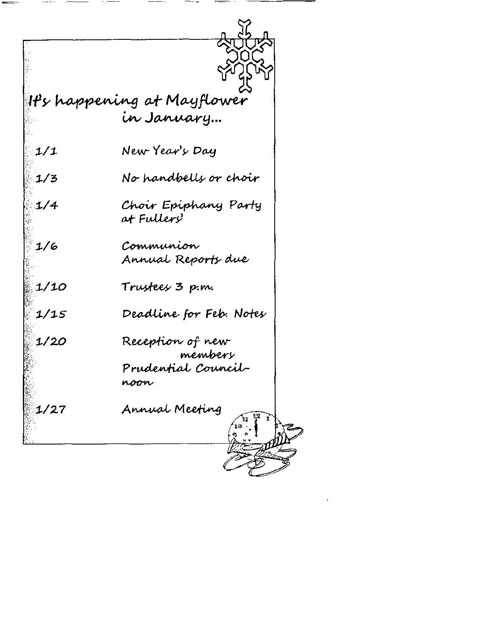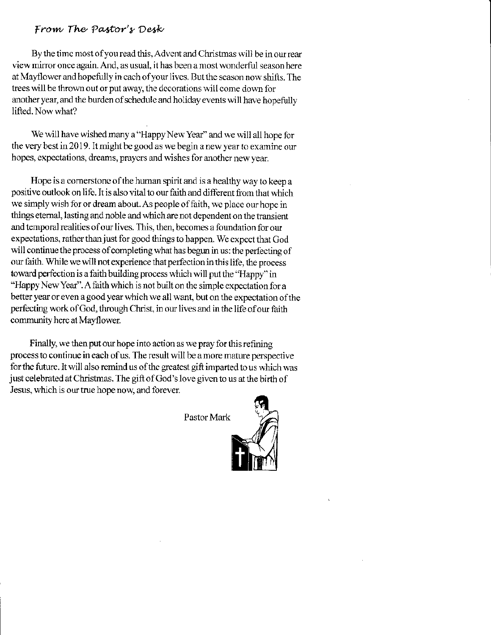### From The Pastor's Desk

By the time most of you read this, Advent and Christmas will be in our rear view mirror once again. And, as usual, it has been a most wonderful season here at Mayflower and hopefully in each of your lives. But the season now shifts. The trees will be thrown out or put away, the decorations will come down for another year, and the burden of schedule and holiday events will have hopefully lifted. Now what?

We will have wished many a "Happy New Year" and we will all hope for the very best in 2019. It might be good as we begin a new year to examine our hopes, expectations, dreams, prayers and wishes for another new year.

Hope is a cornerstone of the human spirit and is a healthy way to keep a positive outlook on life. It is also vital to our faith and different from that which we simply wish for or dream about. As people of faith, we place our hope in things eternal, lasting and noble and which are not dependent on the transient and temporal realities of our lives. This, then, becomes a foundation for our expectations, rather than just for good things to happen. We expect that God will continue the process of completing what has begun in us: the perfecting of our faith. While we will not experience that perfection in this life, the process toward perfection is a faith building process which will put the "Happy" in "Happy New Year". A faith which is not built on the simple expectation for a better year or even a good year which we all want, but on the expectation of the perfecting work of God, through Christ, in our lives and in the life of our faith community here at Mayflower.

Finally, we then put our hope into action as we pray for this refining process to continue in each of us. The result will be a more mature perspective for the future. It will also remind us of the greatest gift imparted to us which was just celebrated at Christmas. The gift of God's love given to us at the birth of Jesus, which is our true hope now, and forever.

Pastor Mark

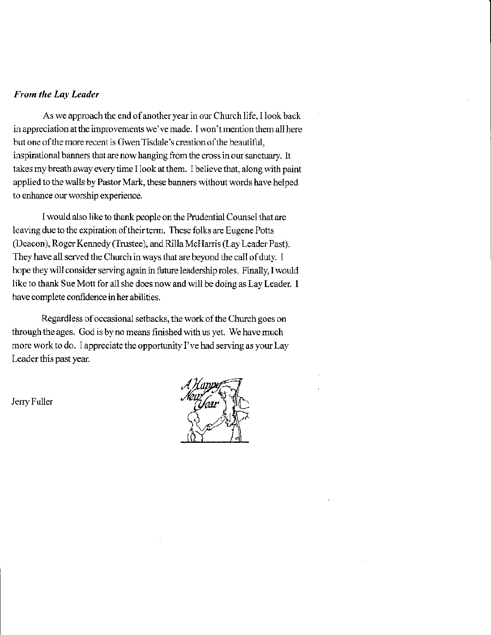#### From the Lay Leader

As we approach the end of another year in our Church life, I look back in appreciation at the improvements we've made. I won't mention them all here but one of the more recent is Gwen Tisdale's creation of the beautiful, inspirational banners that are now hanging from the cross in our sanctuary. It takes my breath away every time I look at them. I believe that, along with paint applied to the walls by Pastor Mark, these banners without words have helped to enhance our worship experience.

I would also like to thank people on the Prudential Counsel that are leaving due to the expiration of their term. These folks are Eugene Potts (Deacon), Roger Kennedy (Trustee), and Rilla McHarris (Lay Leader Past). They have all served the Church in ways that are beyond the call of duty. I hope they will consider serving again in future leadership roles. Finally, I would like to thank Sue Mott for all she does now and will be doing as Lay Leader. I have complete confidence in her abilities,

Regardless of occasional setbacks, the work of the Church goes on through the ages. God is by no means finished with us yet. We have much more work to do. I appreciate the opportunity I've had serving as your Lay Leader this past year.

Jerry Fuller

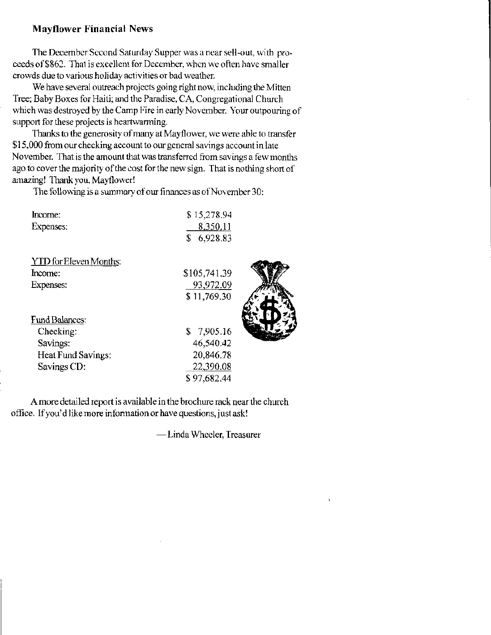#### **Mayflower Financial News**

The December Second Saturday Supper was a near sell-out, with proceeds of \$862. That is excellent for December, when we often have smaller crowds due to various holiday activities or bad weather.

We have several outreach projects going right now, including the Mitten Tree: Baby Boxes for Haiti; and the Paradise, CA, Congregational Church which was destroyed by the Camp Fire in early November. Your outpouring of support for these projects is heartwarming.

Thanks to the generosity of many at Mayflower, we were able to transfer \$15,000 from our checking account to our general savings account in late November. That is the amount that was transferred from savings a few months ago to cover the majority of the cost for the new sign. That is nothing short of amazing! Thank you, Mayflower!

The following is a summary of our finances as of November 30:

| Income:                       | \$15,278.94  |  |
|-------------------------------|--------------|--|
| Expenses:                     | 8,350.11     |  |
|                               | \$6,928.83   |  |
| <b>YTD</b> for Eleven Months: |              |  |
| Income:                       | \$105,741.39 |  |
| Expenses:                     | 93,972.09    |  |
|                               | \$11,769.30  |  |
|                               |              |  |
| <b>Fund Balances:</b>         |              |  |
| Checking:                     | \$7,905.16   |  |
| Savings:                      | 46,540.42    |  |
| Heat Fund Savings:            | 20,846.78    |  |
| Savings CD:                   | 22,390.08    |  |
|                               | \$97,682.44  |  |
|                               |              |  |

A more detailed report is available in the brochure rack near the church office. If you'd like more information or have questions, just ask!

-Linda Wheeler, Treasurer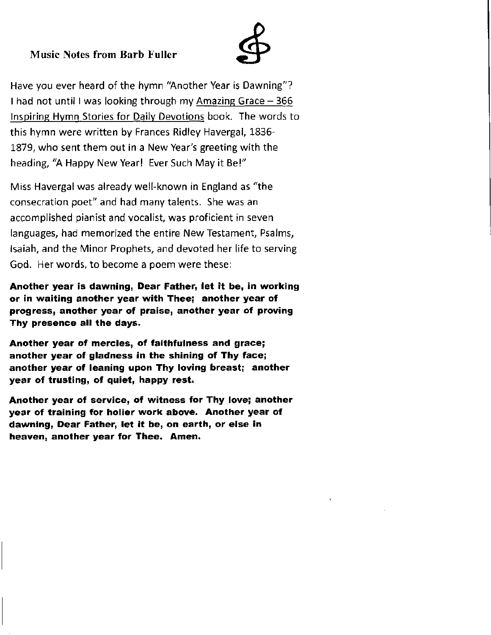## Music Notes from Barb Fuller



Have you ever heard of the hymn 'Another Year is Dawning"? I had not until I was looking through my Amazing Grace  $-366$ lnspiring Hvmn Stories for Dailv Devotions book. The words to this hymn were written by Frances Ridley Havergal, 1836- 1879, who sent them out in a New Year's greeting with the heading, 'A Happy New Yearl Ever Such May it Be!"

Miss Havergal was already well-known in England as "the consecration poet" and had many talents. She was an accomplished pianist and vocalist, was proficient in seven languages, had memorized the entire New Testament, Psalms, lsaiah, and the Minor Prophets, and devoted her life to serving God. Her words, to become a poem were these:

Another year ls dawning, Dear Father, let it be, in working or in waiting another year with Thee; another year of progress, angther year of praise, another year of proving Thy presence all the days,

Another year of mercies, of faithfulness and grace; another year of gladness in the shining of Thy face; another year of leaning upon Thy loving breast; another year of trusting, of quiet, happy rest.

Another year of service, of witness for Thy love; another year of training for holier work above. Another year of dawning, Dear Father, let it be, on earth, or else in heaven, another year for Thee. Amen.